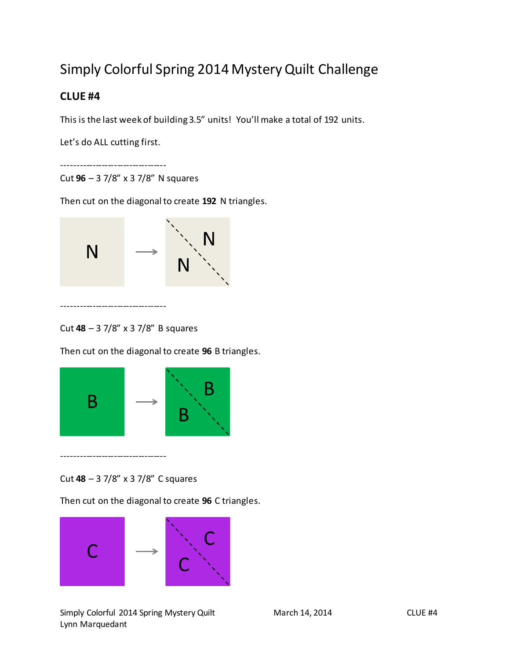## Simply Colorful Spring 2014 Mystery Quilt Challenge

## **CLUE #4**

This is the last week of building 3.5" units! You'll make a total of 192 units.

Let's do ALL cutting first.

----------------------------------

Cut **96** – 3 7/8" x 3 7/8" N squares

Then cut on the diagonal to create **192** N triangles.



----------------------------------

Cut **48** – 3 7/8" x 3 7/8" B squares

Then cut on the diagonal to create **96** B triangles.



Cut **48** – 3 7/8" x 3 7/8" C squares

----------------------------------

Then cut on the diagonal to create **96** C triangles.